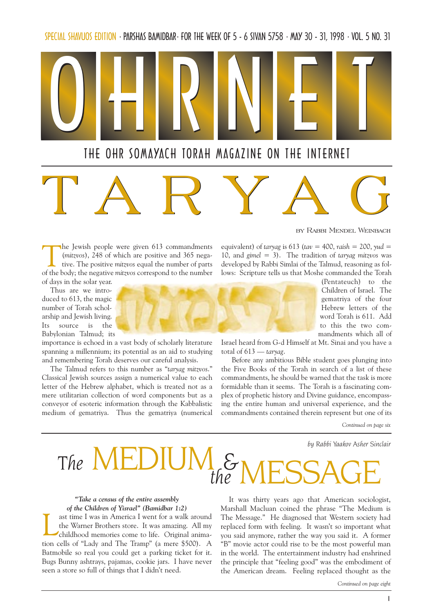SPECIAL SHAVUOS EDITION · PARSHAS BAMIDBAR · FOR THE WEEK OF 5 - 6 SIVAN 5758 · MAY 30 - 31, 1998 · VOL. 5 NO. 31



# TARYAG

by Rabbi Mendel Weinbach

The Jewish people were given 613 commandments (mitzvos), 248 of which are positive and 365 negative. The positive mitzvos equal the number of parts of the body; the negative mitzvos correspond to the number of days in the solar year.

Thus are we introduced to 613, the magic number of Torah scholarship and Jewish living. Its source is the Babylonian Talmud; its

importance is echoed in a vast body of scholarly literature spanning a millennium; its potential as an aid to studying and remembering Torah deserves our careful analysis.

The Talmud refers to this number as "taryag mitzvos." Classical Jewish sources assign a numerical value to each letter of the Hebrew alphabet, which is treated not as a mere utilitarian collection of word components but as a conveyor of esoteric information through the Kabbalistic medium of gematriya. Thus the gematriya (numerical

(Pentateuch) to the Children of Israel. The gematriya of the four Hebrew letters of the word Torah is 611. Add to this the two commandments which all of

Israel heard from G-d Himself at Mt. Sinai and you have a total of  $613 - \text{taryag.}$ 

equivalent) of taryag is 613 (tav = 400, raish = 200, yud = 10, and gimel = 3). The tradition of taryag mitzvos was developed by Rabbi Simlai of the Talmud, reasoning as follows: Scripture tells us that Moshe commanded the Torah

Before any ambitious Bible student goes plunging into the Five Books of the Torah in search of a list of these commandments, he should be warned that the task is more formidable than it seems. The Torah is a fascinating complex of prophetic history and Divine guidance, encompassing the entire human and universal experience, and the commandments contained therein represent but one of its

Continued on page six

by Rabbi Yaakov Asher Sinclair



#### Take a census of the entire assembly of the Children of Yisrael" (Bamidbar 1:2)

ast time I was in America I went for a walk around<br>the Warner Brothers store. It was amazing. All my<br>childhood memories come to life. Original animathe Warner Brothers store. It was amazing. All my childhood memories come to life. Original animation cells of "Lady and The Tramp" (a mere \$500). A Batmobile so real you could get a parking ticket for it. Bugs Bunny ashtrays, pajamas, cookie jars. I have never seen a store so full of things that I didn't need.

It was thirty years ago that American sociologist, Marshall Macluan coined the phrase "The Medium is The Message." He diagnosed that Western society had replaced form with feeling. It wasn't so important what you said anymore, rather the way you said it. A former "B" movie actor could rise to be the most powerful man in the world. The entertainment industry had enshrined the principle that "feeling good" was the embodiment of the American dream. Feeling replaced thought as the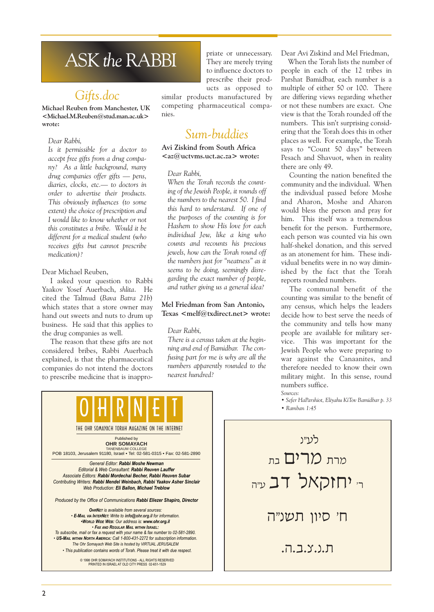# ASK the RABBI

### Gifts.doc

Michael Reuben from Manchester, UK <Michael.M.Reuben@stud.man.ac.uk> wrote:

#### Dear Rabbi,

Is it permissible for a doctor to accept free gifts from a drug company? As a little background, many  $drug$  companies offer gifts  $-$  pens, diaries, clocks, etc.- to doctors in order to advertise their products. This obviously influences (to some extent) the choice of prescription and I would like to know whether or not this constitutes a bribe. Would it be different for a medical student (who receives gifts but cannot prescribe medication)?

#### Dear Michael Reuben,

I asked your question to Rabbi Yaakov Yosef Auerbach, shlita. He cited the Talmud (Bava Batra 21b) which states that a store owner may hand out sweets and nuts to drum up business. He said that this applies to the drug companies as well.

The reason that these gifts are not considered bribes, Rabbi Auerbach explained, is that the pharmaceutical companies do not intend the doctors to prescribe medicine that is inappro-

priate or unnecessary. They are merely trying to influence doctors to prescribe their products as opposed to

similar products manufactured by competing pharmaceutical companies.

### Sum-buddies

Avi Ziskind from South Africa  $\langle aza$ uctvms.uct.ac.za> wrote:

#### Dear Rabbi,

When the Torah records the counting of the Jewish People, it rounds off the numbers to the nearest 50. I find this hard to understand. If one of the purposes of the counting is for Hashem to show His love for each individual Jew, like a king who counts and recounts his precious jewels, how can the Torah round off the numbers just for "neatness" as it seems to be doing, seemingly disregarding the exact number of people, and rather giving us a general idea?

#### Mel Friedman from San Antonio, Texas <melf@txdirect.net> wrote:

#### Dear Rabbi,

There is a census taken at the beginning and end of Bamidbar. The confusing part for me is why are all the numbers apparently rounded to the nearest hundred?

Dear Avi Ziskind and Mel Friedman,

When the Torah lists the number of people in each of the 12 tribes in Parshat Bamidbar, each number is a multiple of either 50 or 100. There are differing views regarding whether or not these numbers are exact. One view is that the Torah rounded off the numbers. This isn't surprising considering that the Torah does this in other places as well. For example, the Torah says to "Count 50 days" between Pesach and Shavuot, when in reality there are only 49.

Counting the nation benefited the community and the individual. When the individual passed before Moshe and Aharon, Moshe and Aharon would bless the person and pray for him. This itself was a tremendous benefit for the person. Furthermore, each person was counted via his own half-shekel donation, and this served as an atonement for him. These individual benefits were in no way diminished by the fact that the Torah reports rounded numbers.

The communal benefit of the counting was similar to the benefit of any census, which helps the leaders decide how to best serve the needs of the community and tells how many people are available for military service. This was important for the Jewish People who were preparing to war against the Canaanites, and therefore needed to know their own military might. In this sense, round numbers suffice.

Sources:

Sefer HaParshiot, Eliyahu KiTov Bamidbar p. 33

Ramban 1:45

General Editor: Rabbi Moshe Newman Editorial & Web Consultant: Rabbi Reuven Lauffer Associate Editors: Rabbi Mordechai Becher, Rabbi Reuven Subar Contributing Writers: Rabbi Mendel Weinbach, Rabbi Yaakov Asher Sinclair Web Production: Eli Ballon, Michael Treblow Produced by the Office of Communications Rabbi Eliezer Shapiro, Director Published by **OHR SOMAYACH** TANENBAUM COLLEGE POB 18103, Jerusalem 91180, Israel • Tel: 02-581-0315 • Fax: 02-581-2890 THE OHR SOMAYACH TORAH MAGAZINE ON THE INTERNET 0 | H | R | N | E | T **OHRNET** is available from several sources: E-MAIL VIA INTERNET: Write to info@ohr.org.il for information. WORLD WIDE WEB: Our address is: www.ohr.org.il FAX AND REGULAR MAIL WITHIN ISRAEL: To subscribe, mail or fax a request with your name & fax number to 02-581-2890. US-MAIL WITHIN NORTH AMERICA: Call 1-800-431-2272 for subscription information. The Ohr Somayach Web Site is hosted by VIRTUAL JERUSALEM This publication contains words of Torah. Please treat it with due respect. © 1998 OHR SOMAYACH INSTITUTIONS - ALL RIGHTS RESERVED PRINTED IN ISRAEL AT OLD CITY PRESS 02-651-1529

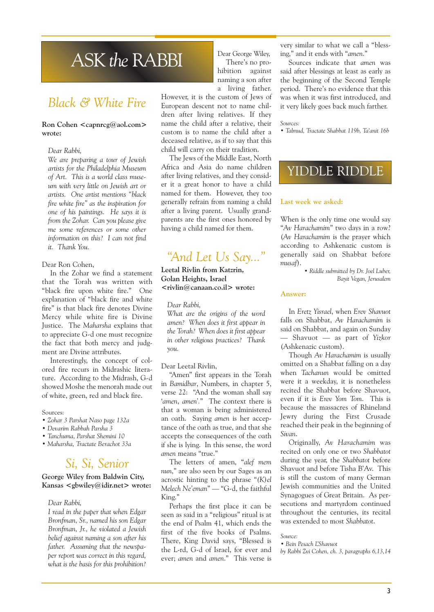# ASK the RABBI

### Black & White Fire

#### Ron Cohen <capnrcg@aol.com> wrote:

#### Dear Rabbi,

We are preparing a tour of Jewish artists for the Philadelphia Museum of Art. This is a world class museum with very little on Jewish art or artists. One artist mentions "black fire white fire" as the inspiration for one of his paintings. He says it is from the Zohar. Can you please give me some references or some other information on this? I can not find it. Thank You.

#### Dear Ron Cohen,

In the Zohar we find a statement that the Torah was written with "black fire upon white fire." One explanation of "black fire and white fire" is that black fire denotes Divine Mercy while white fire is Divine Justice. The Maharsha explains that to appreciate G-d one must recognize the fact that both mercy and judgment are Divine attributes.

Interestingly, the concept of colored fire recurs in Midrashic literature. According to the Midrash, G-d showed Moshe the menorah made out of white, green, red and black fire.

#### Sources:

- Zohar 3 Parshat Naso page 132a
- Devarim Rabbah Parsha 3
- Tanchuma, Parshat Shemini 10
- Maharsha, Tractate Berachot 33a

### Si, Si, Senior

### George Wiley from Baldwin City, Kansas  $\leq$ gbwiley@idir.net> wrote:

#### Dear Rabbi,

I read in the paper that when Edgar Bronfman, Sr., named his son Edgar Bronfman, Jr., he violated a Jewish belief against naming a son after his father. Assuming that the newspaper report was correct in this regard, what is the basis for this prohibition?

Dear George Wiley, There's no prohibition against naming a son after a living father.

However, it is the custom of Jews of European descent not to name children after living relatives. If they name the child after a relative, their custom is to name the child after a deceased relative, as if to say that this child will carry on their tradition.

The Jews of the Middle East, North Africa and Asia do name children after living relatives, and they consider it a great honor to have a child named for them. However, they too generally refrain from naming a child after a living parent. Usually grandparents are the first ones honored by having a child named for them.

### "And Let Us Say..."

Leetal Rivlin from Katzrin, Golan Heights, Israel <rivlin@canaan.co.il> wrote:

#### Dear Rabbi,

What are the origins of the word amen? When does it first appear in the Torah? When does it first appear in other religious practices? Thank you.

#### Dear Leetal Rivlin,

"Amen" first appears in the Torah in Bamidbar, Numbers, in chapter 5, verse 22: "And the woman shall say 'amen, amen'." The context there is that a woman is being administered an oath. Saying amen is her acceptance of the oath as true, and that she accepts the consequences of the oath if she is lying. In this sense, the word amen means "true."

The letters of amen, "alef mem nun," are also seen by our Sages as an acrostic hinting to the phrase " $(K)el$ Melech Ne'eman" - "G-d, the faithful King.

Perhaps the first place it can be seen as said in a "religious" ritual is at the end of Psalm 41, which ends the first of the five books of Psalms. There, King David says, "Blessed is the L-rd, G-d of Israel, for ever and ever; amen and amen." This verse is very similar to what we call a "blessing," and it ends with "amen."

Sources indicate that amen was said after blessings at least as early as the beginning of the Second Temple period. There's no evidence that this was when it was first introduced, and it very likely goes back much farther.

#### Sources:

Talmud, Tractate Shabbat 119b, Ta'anit 16b

### YIDDLE RIDDLE

#### Last week we asked:

When is the only time one would say "Av Harachamim" two days in a row? (Av Harachamim is the prayer which according to Ashkenazic custom is generally said on Shabbat before musaf).

> Riddle submitted by Dr. Joel Luber, Bayit Vegan, Jerusalem

#### Answer:

In Eretz Yisrael, when Erev Shavuot falls on Shabbat, Av Harachamim is said on Shabbat, and again on Sunday  $-$  Shavuot  $-$  as part of Yizkor (Ashkenazic custom).

Though Av Harachamim is usually omitted on a Shabbat falling on a day when Tachanun would be omitted were it a weekday, it is nonetheless recited the Shabbat before Shavuot, even if it is Erev Yom Tom. This is because the massacres of Rhineland Jewry during the First Crusade reached their peak in the beginning of Sivan.

Originally, Av Harachamim was recited on only one or two Shabbatot during the year, the Shabbatot before Shavuot and before Tisha B'Av. This is still the custom of many German Jewish communities and the United Synagogues of Great Britain. As persecutions and martyrdom continued throughout the centuries, its recital was extended to most Shabbatot.

Source:

Bein Pesach LShavuot

by Rabbi Zvi Cohen, ch. 3, paragraphs 6,13,14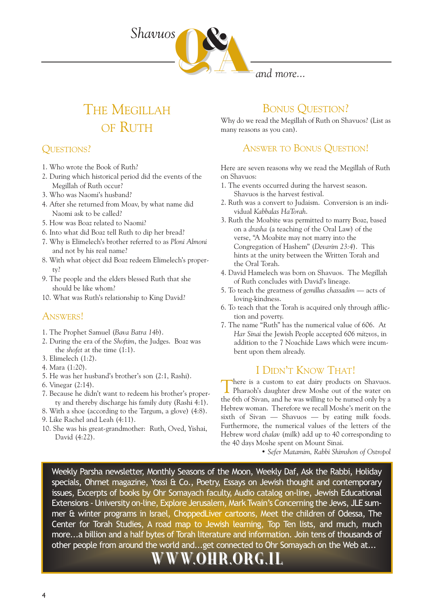

and more...

# THE MEGILLAH OF RUTH

### QUESTIONS?

- 1. Who wrote the Book of Ruth?
- 2. During which historical period did the events of the Megillah of Ruth occur?
- 3. Who was Naomi's husband?
- 4. After she returned from Moav, by what name did Naomi ask to be called?
- 5. How was Boaz related to Naomi?
- 6. Into what did Boaz tell Ruth to dip her bread?
- 7. Why is Elimelech's brother referred to as Ploni Almoni and not by his real name?
- 8. With what object did Boaz redeem Elimelech's property?
- 9. The people and the elders blessed Ruth that she should be like whom?
- 10. What was Ruth's relationship to King David?

### ANSWERS!

- 1. The Prophet Samuel (Bava Batra 14b).
- 2. During the era of the Shoftim, the Judges. Boaz was the shofet at the time (1:1).
- 3. Elimelech (1:2).
- 4. Mara (1:20).
- 5. He was her husband's brother's son  $(2:1, Rashi)$ .
- 6. Vinegar (2:14).
- 7. Because he didn't want to redeem his brother's property and thereby discharge his family duty (Rashi 4:1).
- 8. With a shoe (according to the Targum, a glove) (4:8).
- 9. Like Rachel and Leah (4:11).
- 10. She was his great-grandmother: Ruth, Oved, Yishai, David (4:22).

### BONUS QUESTION?

Why do we read the Megillah of Ruth on Shavuos? (List as many reasons as you can).

### ANSWER TO BONUS QUESTION!

Here are seven reasons why we read the Megillah of Ruth on Shavuos:

- 1. The events occurred during the harvest season. Shavuos is the harvest festival.
- 2. Ruth was a convert to Judaism. Conversion is an individual Kabbalas HaTorah.
- 3. Ruth the Moabite was permitted to marry Boaz, based on a drasha (a teaching of the Oral Law) of the verse, "A Moabite may not marry into the Congregation of Hashem" (Devarim 23:4). This hints at the unity between the Written Torah and the Oral Torah.
- 4. David Hamelech was born on Shavuos. The Megillah of Ruth concludes with David's lineage.
- 5. To teach the greatness of gemillus chassadim  $-$  acts of loving-kindness.
- 6. To teach that the Torah is acquired only through affliction and poverty.
- 7. The name "Ruth" has the numerical value of 606. At Har Sinai the Jewish People accepted 606 mitzvos, in addition to the 7 Noachide Laws which were incumbent upon them already.

### I DIDN'T KNOW THAT!

There is a custom to eat dairy products on Shavuos. Pharaoh's daughter drew Moshe out of the water on the 6th of Sivan, and he was willing to be nursed only by a Hebrew woman. Therefore we recall Moshe's merit on the sixth of Sivan  $-$  Shavuos  $-$  by eating milk foods. Furthermore, the numerical values of the letters of the Hebrew word chalav (milk) add up to 40 corresponding to the 40 days Moshe spent on Mount Sinai.

• Sefer Matamim, Rabbi Shimshon of Ostropol

Weekly Parsha newsletter, Monthly Seasons of the Moon, Weekly Daf, Ask the Rabbi, Holiday specials, Ohrnet magazine, Yossi & Co., Poetry, Essays on Jewish thought and contemporary issues, Excerpts of books by Ohr Somayach faculty, Audio catalog on-line, Jewish Educational Extensions - University on-line, Explore Jerusalem, Mark Twain's Concerning the Jews, JLE summer & winter programs in Israel, ChoppedLiver cartoons, Meet the children of Odessa, The Center for Torah Studies, A road map to Jewish learning, Top Ten lists, and much, much more...a billion and a half bytes of Torah literature and information. Join tens of thousands of other people from around the world and...get connected to Ohr Somayach on the Web at...

# W.OHR.ORG.IL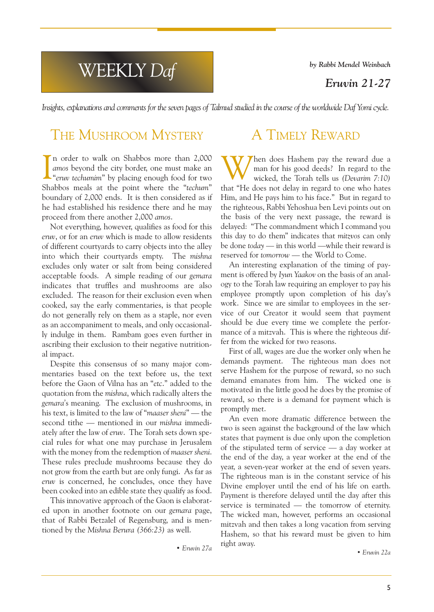WEEKLY Daf

by Rabbi Mendel Weinbach

Eruvin 21-27

Insights, explanations and comments for the seven pages of Talmud studied in the course of the worldwide Daf Yomi cycle.

### THE MUSHROOM MYSTERY

In order to walk on Shabbos more than 2,000 amos beyond the city border, one must make an "eruv techumim" by placing enough food for two In order to walk on Shabbos more than 2,000 amos beyond the city border, one must make an Shabbos meals at the point where the "techum" boundary of 2,000 ends. It is then considered as if he had established his residence there and he may proceed from there another 2,000 amos.

Not everything, however, qualifies as food for this eruv, or for an eruv which is made to allow residents of different courtyards to carry objects into the alley into which their courtyards empty. The mishna excludes only water or salt from being considered acceptable foods. A simple reading of our gemara indicates that truffles and mushrooms are also excluded. The reason for their exclusion even when cooked, say the early commentaries, is that people do not generally rely on them as a staple, nor even as an accompaniment to meals, and only occasionally indulge in them. Rambam goes even further in ascribing their exclusion to their negative nutritional impact.

Despite this consensus of so many major commentaries based on the text before us, the text before the Gaon of Vilna has an "etc." added to the quotation from the mishna, which radically alters the gemara's meaning. The exclusion of mushrooms, in his text, is limited to the law of "maaser sheni" - the second tithe - mentioned in our mishna immediately after the law of eruv. The Torah sets down special rules for what one may purchase in Jerusalem with the money from the redemption of maaser sheni. These rules preclude mushrooms because they do not grow from the earth but are only fungi. As far as eruv is concerned, he concludes, once they have been cooked into an edible state they qualify as food.

This innovative approach of the Gaon is elaborated upon in another footnote on our gemara page, that of Rabbi Betzalel of Regensburg, and is mentioned by the Mishna Berura (366:23) as well.

Eruvin 27a

### A TIMELY REWARD

hen does Hashem pay the reward due a man for his good deeds? In regard to the wicked, the Torah tells us (Devarim 7:10) that "He does not delay in regard to one who hates Him, and He pays him to his face." But in regard to the righteous, Rabbi Yehoshua ben Levi points out on the basis of the very next passage, the reward is delayed: The commandment which I command you this day to do them" indicates that mitzvos can only be done today  $-$  in this world  $-$ while their reward is reserved for tomorrow - the World to Come.

An interesting explanation of the timing of payment is offered by Iyun Yaakov on the basis of an analogy to the Torah law requiring an employer to pay his employee promptly upon completion of his day's work. Since we are similar to employees in the service of our Creator it would seem that payment should be due every time we complete the performance of a mitzvah. This is where the righteous differ from the wicked for two reasons.

First of all, wages are due the worker only when he demands payment. The righteous man does not serve Hashem for the purpose of reward, so no such demand emanates from him. The wicked one is motivated in the little good he does by the promise of reward, so there is a demand for payment which is promptly met.

An even more dramatic difference between the two is seen against the background of the law which states that payment is due only upon the completion of the stipulated term of service  $-$  a day worker at the end of the day, a year worker at the end of the year, a seven-year worker at the end of seven years. The righteous man is in the constant service of his Divine employer until the end of his life on earth. Payment is therefore delayed until the day after this service is terminated  $-$  the tomorrow of eternity. The wicked man, however, performs an occasional mitzvah and then takes a long vacation from serving Hashem, so that his reward must be given to him right away.

Eruvin 22a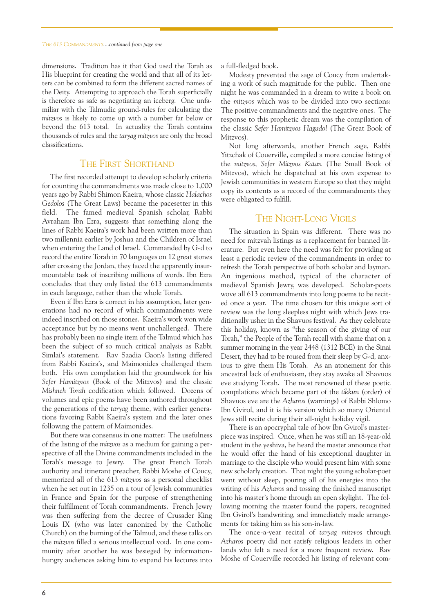dimensions. Tradition has it that God used the Torah as His blueprint for creating the world and that all of its letters can be combined to form the different sacred names of the Deity. Attempting to approach the Torah superficially is therefore as safe as negotiating an iceberg. One unfamiliar with the Talmudic ground-rules for calculating the mitzvos is likely to come up with a number far below or beyond the 613 total. In actuality the Torah contains thousands of rules and the taryag mitzvos are only the broad classifications.

### THE FIRST SHORTHAND

The first recorded attempt to develop scholarly criteria for counting the commandments was made close to 1,000 years ago by Rabbi Shimon Kaeira, whose classic Halachos Gedolos (The Great Laws) became the pacesetter in this field. The famed medieval Spanish scholar, Rabbi Avraham Ibn Ezra, suggests that something along the lines of Rabbi Kaeira's work had been written more than two millennia earlier by Joshua and the Children of Israel when entering the Land of Israel. Commanded by G-d to record the entire Torah in 70 languages on 12 great stones after crossing the Jordan, they faced the apparently insurmountable task of inscribing millions of words. Ibn Ezra concludes that they only listed the 613 commandments in each language, rather than the whole Torah.

Even if Ibn Ezra is correct in his assumption, later generations had no record of which commandments were indeed inscribed on those stones. Kaeira's work won wide acceptance but by no means went unchallenged. There has probably been no single item of the Talmud which has been the subject of so much critical analysis as Rabbi Simlai's statement. Rav Saadia Gaon's listing differed from Rabbi Kaeira's, and Maimonides challenged them both. His own compilation laid the groundwork for his Sefer Hamitzvos (Book of the Mitzvos) and the classic Mishneh Torah codification which followed. Dozens of volumes and epic poems have been authored throughout the generations of the taryag theme, with earlier generations favoring Rabbi Kaeira's system and the later ones following the pattern of Maimonides.

But there was consensus in one matter: The usefulness of the listing of the mitzvos as a medium for gaining a perspective of all the Divine commandments included in the Torah's message to Jewry. The great French Torah authority and itinerant preacher, Rabbi Moshe of Coucy, memorized all of the 613 mitzvos as a personal checklist when he set out in 1235 on a tour of Jewish communities in France and Spain for the purpose of strengthening their fulfillment of Torah commandments. French Jewry was then suffering from the decree of Crusader King Louis IX (who was later canonized by the Catholic Church) on the burning of the Talmud, and these talks on the mitzvos filled a serious intellectual void. In one community after another he was besieged by informationhungry audiences asking him to expand his lectures into a full-fledged book.

Modesty prevented the sage of Coucy from undertaking a work of such magnitude for the public. Then one night he was commanded in a dream to write a book on the mitzvos which was to be divided into two sections: The positive commandments and the negative ones. The response to this prophetic dream was the compilation of the classic Sefer Hamitzvos Hagadol (The Great Book of Mitzvos).

Not long afterwards, another French sage, Rabbi Yitzchak of Couerville, compiled a more concise listing of the mitzvos, Sefer Mitzvos Katan (The Small Book of Mitzvos), which he dispatched at his own expense to Jewish communities in western Europe so that they might copy its contents as a record of the commandments they were obligated to fulfill.

### THE NIGHT-LONG VIGILS

The situation in Spain was different. There was no need for mitzvah listings as a replacement for banned literature. But even here the need was felt for providing at least a periodic review of the commandments in order to refresh the Torah perspective of both scholar and layman. An ingenious method, typical of the character of medieval Spanish Jewry, was developed. Scholar-poets wove all 613 commandments into long poems to be recited once a year. The time chosen for this unique sort of review was the long sleepless night with which Jews traditionally usher in the Shavuos festival. As they celebrate this holiday, known as "the season of the giving of our Torah," the People of the Torah recall with shame that on a summer morning in the year 2448 (1312 BCE) in the Sinai Desert, they had to be roused from their sleep by G-d, anxious to give them His Torah. As an atonement for this ancestral lack of enthusiasm, they stay awake all Shavuos eve studying Torah. The most renowned of these poetic compilations which became part of the tikkun (order) of Shavuos eve are the Azharos (warnings) of Rabbi Shlomo Ibn Gvirol, and it is his version which so many Oriental Jews still recite during their all-night holiday vigil.

There is an apocryphal tale of how Ibn Gvirol's masterpiece was inspired. Once, when he was still an 18-year-old student in the yeshiva, he heard the master announce that he would offer the hand of his exceptional daughter in marriage to the disciple who would present him with some new scholarly creation. That night the young scholar-poet went without sleep, pouring all of his energies into the writing of his Azharos and tossing the finished manuscript into his master's home through an open skylight. The following morning the master found the papers, recognized Ibn Gvirol's handwriting, and immediately made arrangements for taking him as his son-in-law.

The once-a-year recital of taryag mitzvos through Azharos poetry did not satisfy religious leaders in other lands who felt a need for a more frequent review. Rav Moshe of Couerville recorded his listing of relevant com-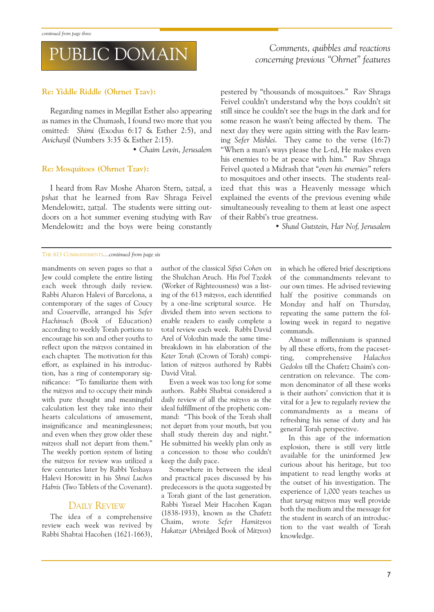# PUBLIC DOMAIN

### Re: Yiddle Riddle (Ohrnet Tzav):

Regarding names in Megillat Esther also appearing as names in the Chumash, I found two more that you omitted: Shimi (Exodus 6:17 & Esther 2:5), and Avichayil (Numbers 3:35 & Esther 2:15).

Chaim Levin, Jerusalem

### Re: Mosquitoes (Ohrnet Tzav):

I heard from Rav Moshe Aharon Stern, zatzal, a pshat that he learned from Rav Shraga Feivel Mendelowitz, zatzal. The students were sitting outdoors on a hot summer evening studying with Rav Mendelowitz and the boys were being constantly

### Comments, quibbles and reactions concerning previous "Ohrnet" features

pestered by "thousands of mosquitoes." Ray Shraga Feivel couldn't understand why the boys couldn't sit still since he couldn't see the bugs in the dark and for some reason he wasn't being affected by them. The next day they were again sitting with the Rav learning Sefer Mishlei. They came to the verse (16:7) "When a man's ways please the L-rd, He makes even his enemies to be at peace with him." Rav Shraga Feivel quoted a Midrash that "even his enemies" refers to mosquitoes and other insects. The students realized that this was a Heavenly message which explained the events of the previous evening while simultaneously revealing to them at least one aspect of their Rabbi's true greatness.

Shaul Gutstein, Har Nof, Jerusalem

#### THE 613 COMMANDMENTS....continued from page six

mandments on seven pages so that a Jew could complete the entire listing each week through daily review. Rabbi Aharon Halevi of Barcelona, a contemporary of the sages of Coucy and Couerville, arranged his Sefer Hachinuch (Book of Education) according to weekly Torah portions to encourage his son and other youths to reflect upon the mitzvos contained in each chapter. The motivation for this effort, as explained in his introduction, has a ring of contemporary significance: To familiarize them with the mitzvos and to occupy their minds with pure thought and meaningful calculation lest they take into their hearts calculations of amusement, insignificance and meaninglessness; and even when they grow older these mitzvos shall not depart from them. The weekly portion system of listing the mitzvos for review was utilized a few centuries later by Rabbi Yeshaya Halevi Horowitz in his Shnei Luchos Habris (Two Tablets of the Covenant).

### DAILY REVIEW

The idea of a comprehensive review each week was revived by Rabbi Shabtai Hacohen (1621-1663), author of the classical Sifsei Cohen on the Shulchan Aruch. His Poel Tzedek (Worker of Righteousness) was a listing of the 613 mitzvos, each identified by a one-line scriptural source. He divided them into seven sections to enable readers to easily complete a total review each week. Rabbi David Arel of Volozhin made the same timebreakdown in his elaboration of the Keter Torah (Crown of Torah) compilation of mitzvos authored by Rabbi David Vital.

Even a week was too long for some authors. Rabbi Shabtai considered a daily review of all the mitzvos as the ideal fulfillment of the prophetic command: "This book of the Torah shall not depart from your mouth, but you shall study therein day and night. He submitted his weekly plan only as a concession to those who couldn't keep the daily pace.

Somewhere in between the ideal and practical paces discussed by his predecessors is the quota suggested by a Torah giant of the last generation. Rabbi Yisrael Meir Hacohen Kagan (1838-1933), known as the Chafetz Chaim, wrote Sefer Hamitzvos Hakatzar (Abridged Book of Mitzvos)

in which he offered brief descriptions of the commandments relevant to our own times. He advised reviewing half the positive commands on Monday and half on Thursday, repeating the same pattern the following week in regard to negative commands.

Almost a millennium is spanned by all these efforts, from the pacesetting, comprehensive Halachos Gedolos till the Chafetz Chaim's concentration on relevance. The common denominator of all these works is their authors' conviction that it is vital for a Jew to regularly review the commandments as a means of refreshing his sense of duty and his general Torah perspective.

In this age of the information explosion, there is still very little available for the uninformed Jew curious about his heritage, but too impatient to read lengthy works at the outset of his investigation. The experience of 1,000 years teaches us that taryag mitzvos may well provide both the medium and the message for the student in search of an introduction to the vast wealth of Torah knowledge.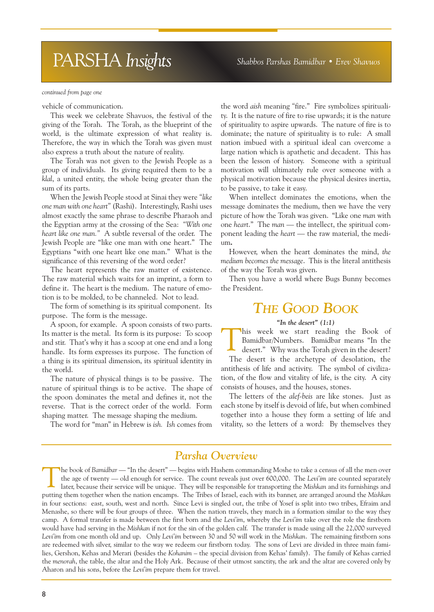# PARSHA Insights Shabbos Parshas Bamidbar • Erev Shavuos

#### continued from page one

vehicle of communication.

This week we celebrate Shavuos, the festival of the giving of the Torah. The Torah, as the blueprint of the world, is the ultimate expression of what reality is. Therefore, the way in which the Torah was given must also express a truth about the nature of reality.

The Torah was not given to the Jewish People as a group of individuals. Its giving required them to be a klal, a united entity, the whole being greater than the sum of its parts.

When the Jewish People stood at Sinai they were "like" one man with one heart" (Rashi). Interestingly, Rashi uses almost exactly the same phrase to describe Pharaoh and the Egyptian army at the crossing of the Sea: With one heart like one man." A subtle reversal of the order. The Jewish People are "like one man with one heart." The Egyptians "with one heart like one man." What is the significance of this reversing of the word order?

The heart represents the raw matter of existence. The raw material which waits for an imprint, a form to define it. The heart is the medium. The nature of emotion is to be molded, to be channeled. Not to lead.

The form of something is its spiritual component. Its purpose. The form is the message.

A spoon, for example. A spoon consists of two parts. Its matter is the metal. Its form is its purpose: To scoop and stir. That's why it has a scoop at one end and a long handle. Its form expresses its purpose. The function of a thing is its spiritual dimension, its spiritual identity in the world.

The nature of physical things is to be passive. The nature of spiritual things is to be active. The shape of the spoon dominates the metal and defines it, not the reverse. That is the correct order of the world. Form shaping matter. The message shaping the medium.

The word for "man" in Hebrew is ish. Ish comes from

the word aish meaning "fire." Fire symbolizes spirituality. It is the nature of fire to rise upwards; it is the nature of spirituality to aspire upwards. The nature of fire is to dominate; the nature of spirituality is to rule: A small nation imbued with a spiritual ideal can overcome a large nation which is apathetic and decadent. This has been the lesson of history. Someone with a spiritual motivation will ultimately rule over someone with a physical motivation because the physical desires inertia, to be passive, to take it easy.

When intellect dominates the emotions, when the message dominates the medium, then we have the very picture of how the Torah was given. "Like one man with one heart." The man  $-$  the intellect, the spiritual component leading the *heart*  $-$  the raw material, the medium.

However, when the heart dominates the mind, the medium becomes the message. This is the literal antithesis of the way the Torah was given.

Then you have a world where Bugs Bunny becomes the President.

### THE GOOD BOOK

#### "In the desert"  $(1:1)$

Ihis week we start reading the Book of Bamidbar/Numbers. Bamidbar means "In the desert." Why was the Torah given in the desert? The desert is the archetype of desolation, the

antithesis of life and activity. The symbol of civilization, of the flow and vitality of life, is the city. A city consists of houses, and the houses, stones.

The letters of the alef-beis are like stones. Just as each stone by itself is devoid of life, but when combined together into a house they form a setting of life and vitality, so the letters of a word: By themselves they

### Parsha Overview

The book of Bamidbar — "In the desert" — begins with Hashem commanding Moshe to take a census of all the men over the age of twenty — old enough for service. The count reveals just over 600,000. The Levi'im are counted separately later, because their service will be unique. They will be responsible for transporting the Mishkan and its furnishings and putting them together when the nation encamps. The Tribes of Israel, each with its banner, are arranged around the Mishkan in four sections: east, south, west and north. Since Levi is singled out, the tribe of Yosef is split into two tribes, Efraim and Menashe, so there will be four groups of three. When the nation travels, they march in a formation similar to the way they camp. A formal transfer is made between the first born and the Levi'im, whereby the Levi'im take over the role the firstborn would have had serving in the Mishkan if not for the sin of the golden calf. The transfer is made using all the 22,000 surveyed Levi'im from one month old and up. Only Levi'im between 30 and 50 will work in the Mishkan. The remaining firstborn sons are redeemed with silver, similar to the way we redeem our firstborn today. The sons of Levi are divided in three main families, Gershon, Kehas and Merari (besides the Kohanim - the special division from Kehas' family). The family of Kehas carried the menorah, the table, the altar and the Holy Ark. Because of their utmost sanctity, the ark and the altar are covered only by Aharon and his sons, before the Levi'im prepare them for travel.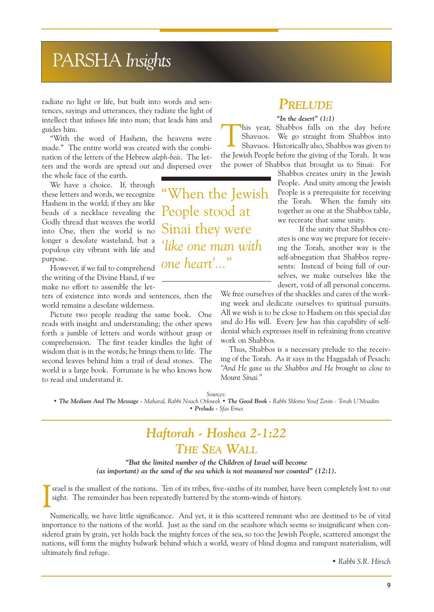# PARSHA Insights

radiate no light or life, but built into words and sentences, sayings and utterances, they radiate the light of intellect that infuses life into man; that leads him and guides him.

With the word of Hashem, the heavens were made." The entire world was created with the combination of the letters of the Hebrew aleph-beis. The letters and the words are spread out and dispersed over the whole face of the earth.

We have a choice. If, through these letters and words, we recognize Hashem in the world; if they are like beads of a necklace revealing the Godly thread that weaves the world into One, then the world is no

populous city vibrant with life and purpose. However, if we fail to comprehend the writing of the Divine Hand, if we

longer a desolate wasteland, but a

make no effort to assemble the let-

ters of existence into words and sentences, then the world remains a desolate wilderness.

Picture two people reading the same book. One reads with insight and understanding; the other spews forth a jumble of letters and words without grasp or comprehension. The first reader kindles the light of wisdom that is in the words; he brings them to life. The second leaves behind him a trail of dead stones. The world is a large book. Fortunate is he who knows how to read and understand it.

When the Jewish People stood at Sinai they were like one man with one heart'..."

### PRELUDE

### "In the desert"  $(1:1)$

This year, Shabbos falls on the day before Shavuos. We go straight from Shabbos into Shavuos. Historically also, Shabbos was given to the Jewish People before the giving of the Torah. It was the power of Shabbos that brought us to Sinai: For

> Shabbos creates unity in the Jewish People. And unity among the Jewish People is a prerequisite for receiving the Torah. When the family sits together as one at the Shabbos table, we recreate that same unity.

> If the unity that Shabbos creates is one way we prepare for receiving the Torah, another way is the self-abnegation that Shabbos represents: Instead of being full of ourselves, we make ourselves like the desert, void of all personal concerns.

We free ourselves of the shackles and cares of the working week and dedicate ourselves to spiritual pursuits. All we wish is to be close to Hashem on this special day and do His will. Every Jew has this capability of selfdenial which expresses itself in refraining from creative work on Shabbos.

Thus, Shabbos is a necessary prelude to the receiving of the Torah. As it says in the Haggadah of Pesach: And He gave us the Shabbos and He brought us close to Mount Sinai."

Sources:

• The Medium And The Message - Maharal, Rabbi Noach Orlowek • The Good Book - Rabbi Shlomo Yosef Zevin - Torah U'Moadim Prelude - Sfas Emes

### Haftorah - Hoshea 2-1:22 THE SEA WALL

But the limited number of the Children of Israel will become (as important) as the sand of the sea which is not measured nor counted"  $(12:1)$ .

I srael is the smallest of the nations. Ten of its tribes, five-sixths of its number, have been completely lost to our sight. The remainder has been repeatedly battered by the storm-winds of history.

Numerically, we have little significance. And yet, it is this scattered remnant who are destined to be of vital importance to the nations of the world. Just as the sand on the seashore which seems so insignificant when considered grain by grain, yet holds back the mighty forces of the sea, so too the Jewish People, scattered amongst the nations, will form the mighty bulwark behind which a world, weary of blind dogma and rampant materialism, will ultimately find refuge.

Rabbi S.R. Hirsch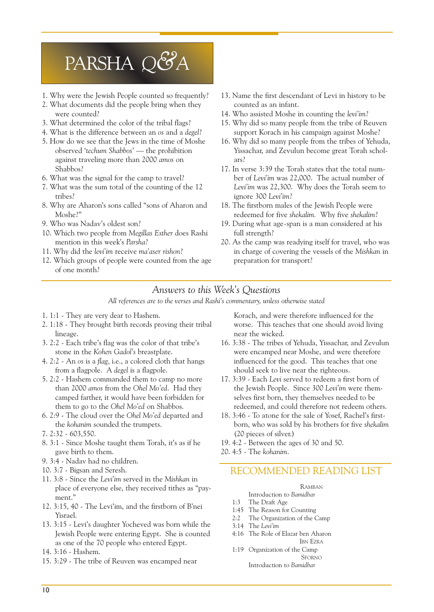# PARSHA Q&A

- 1. Why were the Jewish People counted so frequently?
- 2. What documents did the people bring when they were counted?
- 3. What determined the color of the tribal flags?
- 4. What is the difference between an os and a degel?
- 5. How do we see that the Jews in the time of Moshe observed 'techum Shabbos' — the prohibition against traveling more than 2000 amos on Shabbos?
- 6. What was the signal for the camp to travel?
- 7. What was the sum total of the counting of the 12 tribes?
- 8. Why are Aharon's sons called "sons of Aharon and Moshe?
- 9. Who was Nadav's oldest son?
- 10. Which two people from Megillas Esther does Rashi mention in this week's Parsha?
- 11. Why did the levi'im receive ma'aser rishon?
- 12. Which groups of people were counted from the age of one month?
- 13. Name the first descendant of Levi in history to be counted as an infant.
- 14. Who assisted Moshe in counting the levi'im?
- 15. Why did so many people from the tribe of Reuven support Korach in his campaign against Moshe?
- 16. Why did so many people from the tribes of Yehuda, Yissachar, and Zevulun become great Torah scholars?
- 17. In verse 3:39 the Torah states that the total number of Leviim was 22,000. The actual number of Levi'im was 22,300. Why does the Torah seem to ignore 300 Levi'im?
- 18. The firstborn males of the Jewish People were redeemed for five shekalim. Why five shekalim?
- 19. During what age-span is a man considered at his full strength?
- 20. As the camp was readying itself for travel, who was in charge of covering the vessels of the Mishkan in preparation for transport?

### Answers to this Week's Questions

All references are to the verses and Rashi's commentary, unless otherwise stated

- 1. 1:1 They are very dear to Hashem.
- 2. 1:18 They brought birth records proving their tribal lineage.
- $3. 2:2$  Each tribe's flag was the color of that tribe's stone in the Kohen Gadol's breastplate.
- 4. 2:2 An os is a flag, i.e., a colored cloth that hangs from a flagpole. A degel is a flagpole.
- 5. 2:2 Hashem commanded them to camp no more than 2000 amos from the Ohel Mo'ed. Had they camped farther, it would have been forbidden for them to go to the Ohel Mo'ed on Shabbos.
- 6. 2:9 The cloud over the Ohel Mo'ed departed and the kohanim sounded the trumpets.
- 7. 2:32 603,550.
- 8. 3:1 Since Moshe taught them Torah, it's as if he gave birth to them.
- 9. 3:4 Nadav had no children.
- 10. 3:7 Bigsan and Seresh.
- 11. 3:8 Since the Leviim served in the Mishkan in place of everyone else, they received tithes as "payment."
- 12. 3:15, 40 The Levi'im, and the firstborn of B'nei Yisrael.
- 13. 3:15 Levis daughter Yocheved was born while the Jewish People were entering Egypt. She is counted as one of the 70 people who entered Egypt.
- 14. 3:16 Hashem.
- 15. 3:29 The tribe of Reuven was encamped near

Korach, and were therefore influenced for the worse. This teaches that one should avoid living near the wicked.

- 16. 3:38 The tribes of Yehuda, Yissachar, and Zevulun were encamped near Moshe, and were therefore influenced for the good. This teaches that one should seek to live near the righteous.
- 17. 3:39 Each Levi served to redeem a first born of the Jewish People. Since 300 Levi'im were themselves first born, they themselves needed to be redeemed, and could therefore not redeem others.
- 18. 3:46 To atone for the sale of Yosef, Rachel's firstborn, who was sold by his brothers for five shekalim (20 pieces of silver.)
- 19. 4:2 Between the ages of 30 and 50.
- 20. 4:5 The kohanim.

### RECOMMENDED READING LIST

### RAMBAN

- Introduction to Bamidbar
- 1:3 The Draft Age
- 1:45 The Reason for Counting
- 2:2 The Organization of the Camp
- 3:14 The Levi'im
- 4:16 The Role of Elazar ben Aharon IBN EZRA
- 1:19 Organization of the Camp SFORNO Introduction to Bamidbar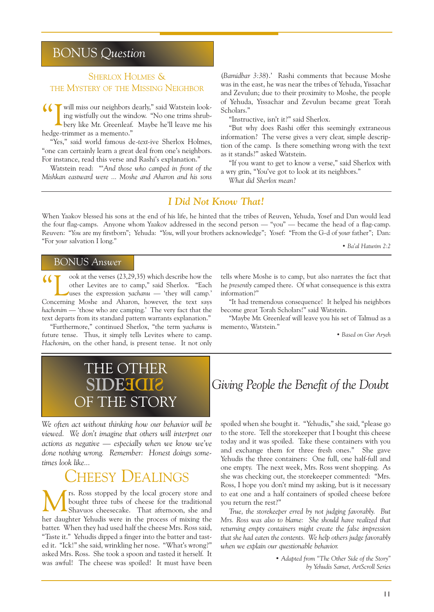### BONUS Question

### SHERLOX HOLMES & THE MYSTERY OF THE MISSING NEIGHBOR

If  $\blacksquare$  will miss our neighbors dearly," said Watstein looking wistfully out the window. "No one trims shrub- $\blacktriangle$  bery like Mr. Greenleaf. Maybe he'll leave me his hedge-trimmer as a memento.

"Yes," said world famous de-text-ive Sherlox Holmes, "one can certainly learn a great deal from one's neighbors. For instance, read this verse and Rashi's explanation."

Watstein read: "And those who camped in front of the Mishkan eastward were ... Moshe and Aharon and his sons

(Bamidbar 3:38).' Rashi comments that because Moshe was in the east, he was near the tribes of Yehuda, Yissachar and Zevulun; due to their proximity to Moshe, the people of Yehuda, Yissachar and Zevulun became great Torah Scholars."

"Instructive, isn't it?" said Sherlox.

But why does Rashi offer this seemingly extraneous information? The verse gives a very clear, simple description of the camp. Is there something wrong with the text as it stands?" asked Watstein.

"If you want to get to know a verse," said Sherlox with a wry grin, "You've got to look at its neighbors."

What did Sherlox mean?

### I Did Not Know That!

When Yaakov blessed his sons at the end of his life, he hinted that the tribes of Reuven, Yehuda, Yosef and Dan would lead the four flag-camps. Anyone whom Yaakov addressed in the second person — "you" — became the head of a flag-camp. Reuven: "You are my firstborn"; Yehuda: "You, will your brothers acknowledge"; Yosef: "From the G-d of your father"; Dan: "For your salvation I long." <br>• Ba'al Haturim 2:2

### BONUS Answer

ook at the verses (23,29,35) which describe how the other Levites are to camp," said Sherlox. "Each uses the expression yachanu  $-$  'they will camp.' Concerning Moshe and Aharon, however, the text says hachonim - 'those who are camping.' The very fact that the text departs from its standard pattern warrants explanation.

"Furthermore," continued Sherlox, "the term yachanu is future tense. Thus, it simply tells Levites where to camp. Hachonim, on the other hand, is present tense. It not only

tells where Moshe is to camp, but also narrates the fact that he presently camped there. Of what consequence is this extra information?

"It had tremendous consequence! It helped his neighbors become great Torah Scholars!" said Watstein.

Maybe Mr. Greenleaf will leave you his set of Talmud as a memento, Watstein.

Based on Gur Aryeh



We often act without thinking how our behavior will be viewed. We don't imagine that others will interpret our actions as negative  $-$  especially when we know we've done nothing wrong. Remember: Honest doings sometimes look like...

## **HEESY DEALINGS**

Mrs. Ross stopped by the local grocery store and Shavuos cheesecake. That afternoon, she and bought three tubs of cheese for the traditional her daughter Yehudis were in the process of mixing the batter. When they had used half the cheese Mrs. Ross said, "Taste it." Yehudis dipped a finger into the batter and tasted it. "Ick!" she said, wrinkling her nose. "What's wrong?" asked Mrs. Ross. She took a spoon and tasted it herself. It was awful! The cheese was spoiled! It must have been

**SIGIB Giving People the Benefit of the Doubt** 

spoiled when she bought it. "Yehudis," she said, "please go to the store. Tell the storekeeper that I bought this cheese today and it was spoiled. Take these containers with you and exchange them for three fresh ones." She gave Yehudis the three containers: One full, one half-full and one empty. The next week, Mrs. Ross went shopping. As she was checking out, the storekeeper commented: "Mrs. Ross, I hope you don't mind my asking, but is it necessary to eat one and a half containers of spoiled cheese before you return the rest?

True, the storekeeper erred by not judging favorably. But Mrs. Ross was also to blame: She should have realized that returning empty containers might create the false impression that she had eaten the contents. We help others judge favorably when we explain our questionable behavior.

> • Adapted from "The Other Side of the Story" by Yehudis Samet, ArtScroll Series